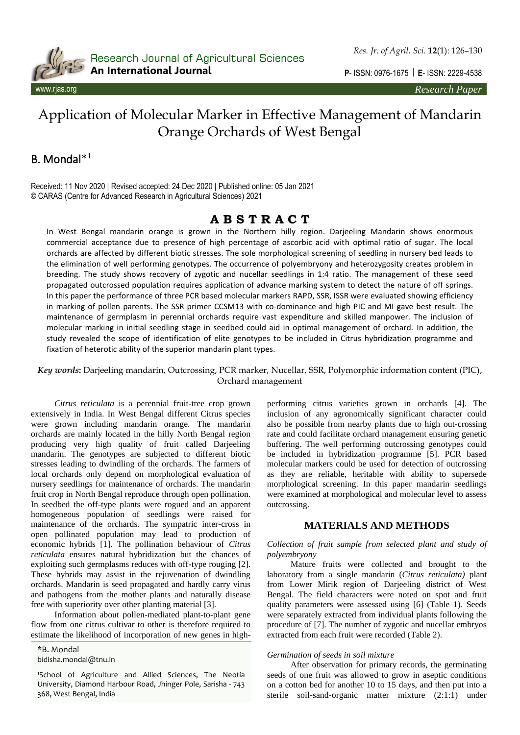

Research Journal of Agricultural Sciences An International Journal

**P**- ISSN: 0976-1675 **E**- ISSN: 2229-4538

# Application of Molecular Marker in Effective Management of Mandarin Orange Orchards of West Bengal

## B. Mondal\* 1

Received: 11 Nov 2020 | Revised accepted: 24 Dec 2020 | Published online: 05 Jan 2021 © CARAS (Centre for Advanced Research in Agricultural Sciences) 2021

## **A B S T R A C T**

In West Bengal mandarin orange is grown in the Northern hilly region. Darjeeling Mandarin shows enormous commercial acceptance due to presence of high percentage of ascorbic acid with optimal ratio of sugar. The local orchards are affected by different biotic stresses. The sole morphological screening of seedling in nursery bed leads to the elimination of well performing genotypes. The occurrence of polyembryony and heterozygosity creates problem in breeding. The study shows recovery of zygotic and nucellar seedlings in 1:4 ratio. The management of these seed propagated outcrossed population requires application of advance marking system to detect the nature of off springs. In this paper the performance of three PCR based molecular markers RAPD, SSR, ISSR were evaluated showing efficiency in marking of pollen parents. The SSR primer CCSM13 with co-dominance and high PIC and MI gave best result. The maintenance of germplasm in perennial orchards require vast expenditure and skilled manpower. The inclusion of molecular marking in initial seedling stage in seedbed could aid in optimal management of orchard. In addition, the study revealed the scope of identification of elite genotypes to be included in Citrus hybridization programme and fixation of heterotic ability of the superior mandarin plant types.

*Key words***:** Darjeeling mandarin, Outcrossing, PCR marker, Nucellar, SSR, Polymorphic information content (PIC), Orchard management

*Citrus reticulata* is a perennial fruit-tree crop grown extensively in India. In West Bengal different Citrus species were grown including mandarin orange. The mandarin orchards are mainly located in the hilly North Bengal region producing very high quality of fruit called Darjeeling mandarin. The genotypes are subjected to different biotic stresses leading to dwindling of the orchards. The farmers of local orchards only depend on morphological evaluation of nursery seedlings for maintenance of orchards. The mandarin fruit crop in North Bengal reproduce through open pollination. In seedbed the off-type plants were rogued and an apparent homogeneous population of seedlings were raised for maintenance of the orchards. The sympatric inter-cross in open pollinated population may lead to production of economic hybrids [1]. The pollination behaviour of *Citrus reticulata* ensures natural hybridization but the chances of exploiting such germplasms reduces with off-type rouging [2]. These hybrids may assist in the rejuvenation of dwindling orchards. Mandarin is seed propagated and hardly carry virus and pathogens from the mother plants and naturally disease free with superiority over other planting material [3].

Information about pollen-mediated plant-to-plant gene flow from one citrus cultivar to other is therefore required to estimate the likelihood of incorporation of new genes in high-

\*B. Mondal bidisha.mondal@tnu.in

<sup>1</sup>School of Agriculture and Allied Sciences, The Neotia University, Diamond Harbour Road, Jhinger Pole, Sarisha - 743 368, West Bengal, India

performing citrus varieties grown in orchards [4]. The inclusion of any agronomically significant character could also be possible from nearby plants due to high out-crossing rate and could facilitate orchard management ensuring genetic buffering. The well performing outcrossing genotypes could be included in hybridization programme [5]. PCR based molecular markers could be used for detection of outcrossing as they are reliable, heritable with ability to supersede morphological screening. In this paper mandarin seedlings were examined at morphological and molecular level to assess outcrossing.

## **MATERIALS AND METHODS**

## *Collection of fruit sample from selected plant and study of polyembryony*

Mature fruits were collected and brought to the laboratory from a single mandarin (*Citrus reticulata)* plant from Lower Mirik region of Darjeeling district of West Bengal. The field characters were noted on spot and fruit quality parameters were assessed using [6] (Table 1). Seeds were separately extracted from individual plants following the procedure of [7]. The number of zygotic and nucellar embryos extracted from each fruit were recorded (Table 2).

## *Germination of seeds in soil mixture*

After observation for primary records, the germinating seeds of one fruit was allowed to grow in aseptic conditions on a cotton bed for another 10 to 15 days, and then put into a sterile soil-sand-organic matter mixture (2:1:1) under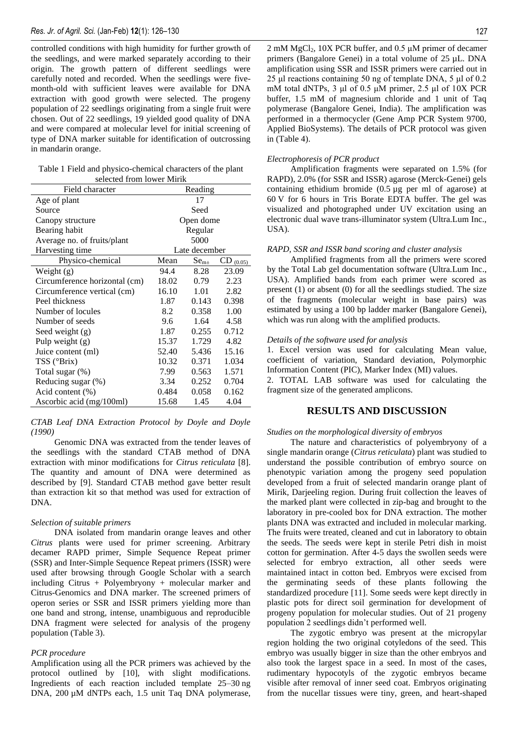controlled conditions with high humidity for further growth of the seedlings, and were marked separately according to their origin. The growth pattern of different seedlings were carefully noted and recorded. When the seedlings were fivemonth-old with sufficient leaves were available for DNA extraction with good growth were selected. The progeny population of 22 seedlings originating from a single fruit were chosen. Out of 22 seedlings, 19 yielded good quality of DNA and were compared at molecular level for initial screening of type of DNA marker suitable for identification of outcrossing in mandarin orange.

| Table 1 Field and physico-chemical characters of the plant |
|------------------------------------------------------------|
| selected from lower Mirik                                  |

| Field character               |       | Reading          |               |
|-------------------------------|-------|------------------|---------------|
| Age of plant                  |       | 17               |               |
| Source                        |       | Seed             |               |
| Canopy structure              |       | Open dome        |               |
| Bearing habit                 |       | Regular          |               |
| Average no. of fruits/plant   |       | 5000             |               |
| Harvesting time               |       | Late december    |               |
| Physico-chemical              | Mean  | Se <sub>m±</sub> | $CD_{(0.05)}$ |
| Weight $(g)$                  | 94.4  | 8.28             | 23.09         |
| Circumference horizontal (cm) | 18.02 | 0.79             | 2.23          |
| Circumference vertical (cm)   | 16.10 | 1.01             | 2.82          |
| Peel thickness                | 1.87  | 0.143            | 0.398         |
| Number of locules             | 8.2   | 0.358            | 1.00          |
| Number of seeds               | 9.6   | 1.64             | 4.58          |
| Seed weight $(g)$             | 1.87  | 0.255            | 0.712         |
| Pulp weight $(g)$             | 15.37 | 1.729            | 4.82          |
| Juice content (ml)            | 52.40 | 5.436            | 15.16         |
| $TSS$ ( ${}^{\circ}Brix$ )    | 10.32 | 0.371            | 1.034         |
| Total sugar (%)               | 7.99  | 0.563            | 1.571         |
| Reducing sugar (%)            | 3.34  | 0.252            | 0.704         |
| Acid content (%)              | 0.484 | 0.058            | 0.162         |
| Ascorbic acid (mg/100ml)      | 15.68 | 1.45             | 4.04          |

*CTAB Leaf DNA Extraction Protocol by Doyle and Doyle (1990)*

Genomic DNA was extracted from the tender leaves of the seedlings with the standard CTAB method of DNA extraction with minor modifications for *Citrus reticulata* [8]. The quantity and amount of DNA were determined as described by [9]. Standard CTAB method gave better result than extraction kit so that method was used for extraction of DNA.

#### *Selection of suitable primers*

DNA isolated from mandarin orange leaves and other *Citrus* plants were used for primer screening. Arbitrary decamer RAPD primer, Simple Sequence Repeat primer (SSR) and Inter-Simple Sequence Repeat primers (ISSR) were used after browsing through Google Scholar with a search including Citrus + Polyembryony + molecular marker and Citrus-Genomics and DNA marker. The screened primers of operon series or SSR and ISSR primers yielding more than one band and strong, intense, unambiguous and reproducible DNA fragment were selected for analysis of the progeny population (Table 3).

#### *PCR procedure*

Amplification using all the PCR primers was achieved by the protocol outlined by [10], with slight modifications. Ingredients of each reaction included template 25–30 ng DNA, 200 µM dNTPs each, 1.5 unit Taq DNA polymerase, 2 mM  $MgCl<sub>2</sub>$ , 10X PCR buffer, and 0.5 µM primer of decamer primers (Bangalore Genei) in a total volume of 25 µL. DNA amplification using SSR and ISSR primers were carried out in 25 μl reactions containing 50 ng of template DNA, 5 μl of 0.2 mM total dNTPs, 3 μl of 0.5 μM primer, 2.5 μl of 10X PCR buffer, 1.5 mM of magnesium chloride and 1 unit of Taq polymerase (Bangalore Genei, India). The amplification was performed in a thermocycler (Gene Amp PCR System 9700, Applied BioSystems). The details of PCR protocol was given in (Table 4).

## *Electrophoresis of PCR product*

Amplification fragments were separated on 1.5% (for RAPD), 2.0% (for SSR and ISSR) agarose (Merck-Genei) gels containing ethidium bromide (0.5 µg per ml of agarose) at 60 V for 6 hours in Tris Borate EDTA buffer. The gel was visualized and photographed under UV excitation using an electronic dual wave trans-illuminator system (Ultra.Lum Inc., USA).

#### *RAPD, SSR and ISSR band scoring and cluster analysis*

Amplified fragments from all the primers were scored by the Total Lab gel documentation software (Ultra.Lum Inc., USA). Amplified bands from each primer were scored as present (1) or absent (0) for all the seedlings studied. The size of the fragments (molecular weight in base pairs) was estimated by using a 100 bp ladder marker (Bangalore Genei), which was run along with the amplified products.

#### *Details of the software used for analysis*

1. Excel version was used for calculating Mean value, coefficient of variation, Standard deviation, Polymorphic Information Content (PIC), Marker Index (MI) values.

2. TOTAL LAB software was used for calculating the fragment size of the generated amplicons.

## **RESULTS AND DISCUSSION**

#### *Studies on the morphological diversity of embryos*

The nature and characteristics of polyembryony of a single mandarin orange (*Citrus reticulata*) plant was studied to understand the possible contribution of embryo source on phenotypic variation among the progeny seed population developed from a fruit of selected mandarin orange plant of Mirik, Darjeeling region. During fruit collection the leaves of the marked plant were collected in zip-bag and brought to the laboratory in pre-cooled box for DNA extraction. The mother plants DNA was extracted and included in molecular marking. The fruits were treated, cleaned and cut in laboratory to obtain the seeds. The seeds were kept in sterile Petri dish in moist cotton for germination. After 4-5 days the swollen seeds were selected for embryo extraction, all other seeds were maintained intact in cotton bed. Embryos were excised from the germinating seeds of these plants following the standardized procedure [11]. Some seeds were kept directly in plastic pots for direct soil germination for development of progeny population for molecular studies. Out of 21 progeny population 2 seedlings didn't performed well.

The zygotic embryo was present at the micropylar region holding the two original cotyledons of the seed. This embryo was usually bigger in size than the other embryos and also took the largest space in a seed. In most of the cases, rudimentary hypocotyls of the zygotic embryos became visible after removal of inner seed coat. Embryos originating from the nucellar tissues were tiny, green, and heart-shaped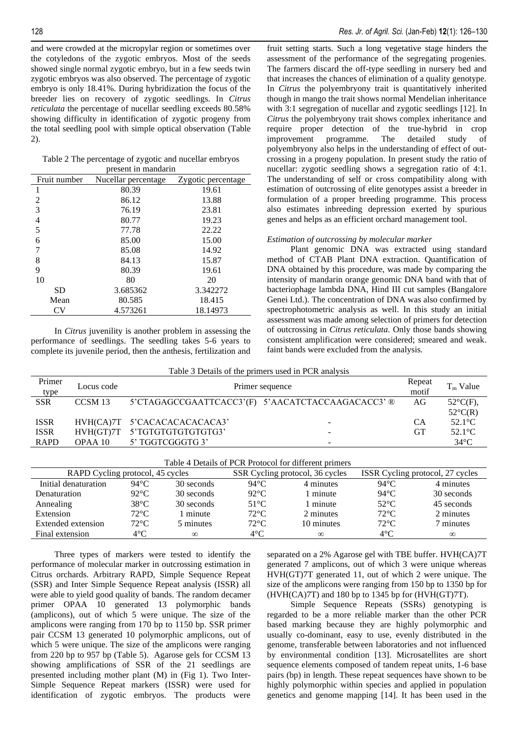and were crowded at the micropylar region or sometimes over the cotyledons of the zygotic embryos. Most of the seeds showed single normal zygotic embryo, but in a few seeds twin zygotic embryos was also observed. The percentage of zygotic embryo is only 18.41%. During hybridization the focus of the breeder lies on recovery of zygotic seedlings. In *Citrus reticulata* the percentage of nucellar seedling exceeds 80.58% showing difficulty in identification of zygotic progeny from the total seedling pool with simple optical observation (Table 2).

| Table 2 The percentage of zygotic and nucellar embryos |  |
|--------------------------------------------------------|--|
| present in mandarin                                    |  |

| Fruit number   | Nucellar percentage | Zygotic percentage |
|----------------|---------------------|--------------------|
| 1              | 80.39               | 19.61              |
| 2              | 86.12               | 13.88              |
| 3              | 76.19               | 23.81              |
| $\overline{4}$ | 80.77               | 19.23              |
| 5              | 77.78               | 22.22              |
| 6              | 85.00               | 15.00              |
| 7              | 85.08               | 14.92              |
| 8              | 84.13               | 15.87              |
| 9              | 80.39               | 19.61              |
| 10             | 80                  | 20                 |
| <b>SD</b>      | 3.685362            | 3.342272           |
| Mean           | 80.585              | 18.415             |
| CV             | 4.573261            | 18.14973           |

In *Citrus* juvenility is another problem in assessing the performance of seedlings. The seedling takes 5-6 years to complete its juvenile period, then the anthesis, fertilization and fruit setting starts. Such a long vegetative stage hinders the assessment of the performance of the segregating progenies. The farmers discard the off-type seedling in nursery bed and that increases the chances of elimination of a quality genotype. In *Citrus* the polyembryony trait is quantitatively inherited though in mango the trait shows normal Mendelian inheritance with 3:1 segregation of nucellar and zygotic seedlings [12]. In *Citrus* the polyembryony trait shows complex inheritance and require proper detection of the true-hybrid in crop improvement programme. The detailed study of polyembryony also helps in the understanding of effect of outcrossing in a progeny population. In present study the ratio of nucellar: zygotic seedling shows a segregation ratio of 4:1. The understanding of self or cross compatibility along with estimation of outcrossing of elite genotypes assist a breeder in formulation of a proper breeding programme. This process also estimates inbreeding depression exerted by spurious genes and helps as an efficient orchard management tool.

#### *Estimation of outcrossing by molecular marker*

Plant genomic DNA was extracted using standard method of CTAB Plant DNA extraction. Quantification of DNA obtained by this procedure, was made by comparing the intensity of mandarin orange genomic DNA band with that of bacteriophage lambda DNA, Hind III cut samples (Bangalore Genei Ltd.). The concentration of DNA was also confirmed by spectrophotometric analysis as well. In this study an initial assessment was made among selection of primers for detection of outcrossing in *Citrus reticulata.* Only those bands showing consistent amplification were considered; smeared and weak. faint bands were excluded from the analysis.

| Table 3 Details of the primers used in PCR analysis |  |  |
|-----------------------------------------------------|--|--|
|-----------------------------------------------------|--|--|

| Primer<br>type | Locus code | Primer sequence              |                                                   |           | $T_m$ Value        |
|----------------|------------|------------------------------|---------------------------------------------------|-----------|--------------------|
| <b>SSR</b>     | CCSM 13    |                              | 5'CTAGAGCCGAATTCACC3'(F) 5'AACATCTACCAAGACACC3' ® | AG        | $52^{\circ}C(F)$ , |
|                |            |                              |                                                   |           | $52^{\circ}C(R)$   |
| <b>ISSR</b>    |            | HVH(CA)7T 5'CACACACACACACA3' |                                                   | CА        | $52.1^{\circ}$ C   |
| <b>ISSR</b>    | HVH(GT)7T  | 5'TGTGTGTGTGTGTG3'           |                                                   | <b>GT</b> | $52.1^{\circ}$ C   |
| <b>RAPD</b>    | $OPAA$ 10  | 5' TGGTCGGGTG 3'             |                                                   |           | $34^{\circ}$ C     |

| Table 4 Details of PCR Protocol for different primers |                |            |                                 |            |                                  |            |  |
|-------------------------------------------------------|----------------|------------|---------------------------------|------------|----------------------------------|------------|--|
| RAPD Cycling protocol, 45 cycles                      |                |            | SSR Cycling protocol, 36 cycles |            | ISSR Cycling protocol, 27 cycles |            |  |
| Initial denaturation                                  | 94°C           | 30 seconds | 94°C.                           | 4 minutes  | 94°C                             | 4 minutes  |  |
| Denaturation                                          | $92^{\circ}$ C | 30 seconds | $92^{\circ}$ C                  | 1 minute   | $94^{\circ}$ C                   | 30 seconds |  |
| Annealing                                             | $38^{\circ}$ C | 30 seconds | $51^{\circ}$ C                  | 1 minute   | $52^{\circ}$ C                   | 45 seconds |  |
| Extension                                             | $72^{\circ}$ C | 1 minute   | $72^{\circ}$ C                  | 2 minutes  | $72^{\circ}$ C                   | 2 minutes  |  |
| Extended extension                                    | $72^{\circ}$ C | 5 minutes  | $72^{\circ}$ C                  | 10 minutes | $72^{\circ}$ C                   | 7 minutes  |  |
| Final extension                                       | $4^{\circ}$ C  | $\infty$   | $4^{\circ}$ C                   | $\infty$   | $4^{\circ}$ C                    | $\infty$   |  |

Three types of markers were tested to identify the performance of molecular marker in outcrossing estimation in Citrus orchards. Arbitrary RAPD, Simple Sequence Repeat (SSR) and Inter Simple Sequence Repeat analysis (ISSR) all were able to yield good quality of bands. The random decamer primer OPAA 10 generated 13 polymorphic bands (amplicons), out of which 5 were unique. The size of the amplicons were ranging from 170 bp to 1150 bp. SSR primer pair CCSM 13 generated 10 polymorphic amplicons, out of which 5 were unique. The size of the amplicons were ranging from 220 bp to 957 bp (Table 5). Agarose gels for CCSM 13 showing amplifications of SSR of the 21 seedlings are presented including mother plant (M) in (Fig 1). Two Inter-Simple Sequence Repeat markers (ISSR) were used for identification of zygotic embryos. The products were

separated on a 2% Agarose gel with TBE buffer. HVH(CA)7T generated 7 amplicons, out of which 3 were unique whereas HVH(GT)7T generated 11, out of which 2 were unique. The size of the amplicons were ranging from 150 bp to 1350 bp for  $(HVH(CA)7T)$  and 180 bp to 1345 bp for  $(HVH(GT)7T)$ .

Simple Sequence Repeats (SSRs) genotyping is regarded to be a more reliable marker than the other PCR based marking because they are highly polymorphic and usually co-dominant, easy to use, evenly distributed in the genome, transferable between laboratories and not influenced by environmental condition [13]. Microsatellites are short sequence elements composed of tandem repeat units, 1-6 base pairs (bp) in length. These repeat sequences have shown to be highly polymorphic within species and applied in population genetics and genome mapping [14]. It has been used in the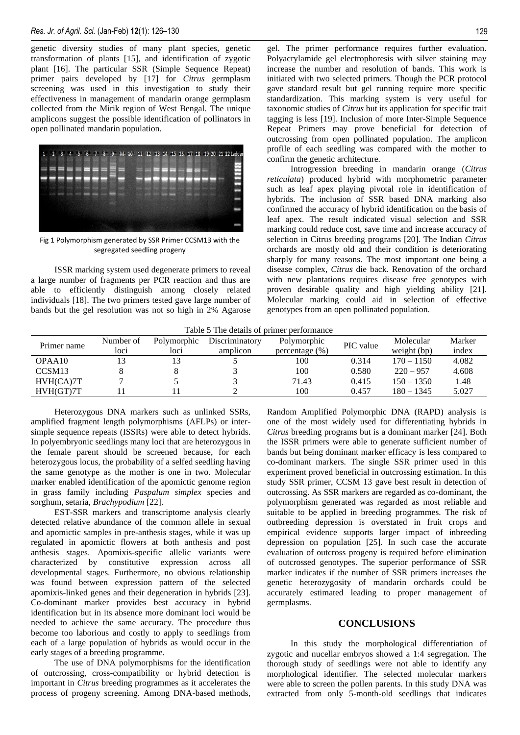genetic diversity studies of many plant species, genetic transformation of plants [15], and identification of zygotic plant [16]. The particular SSR (Simple Sequence Repeat) primer pairs developed by [17] for *Citrus* germplasm screening was used in this investigation to study their effectiveness in management of mandarin orange germplasm collected from the Mirik region of West Bengal. The unique amplicons suggest the possible identification of pollinators in open pollinated mandarin population.



Fig 1 Polymorphism generated by SSR Primer CCSM13 with the segregated seedling progeny

ISSR marking system used degenerate primers to reveal a large number of fragments per PCR reaction and thus are able to efficiently distinguish among closely related individuals [18]. The two primers tested gave large number of bands but the gel resolution was not so high in 2% Agarose Polyacrylamide gel electrophoresis with silver staining may increase the number and resolution of bands. This work is initiated with two selected primers. Though the PCR protocol gave standard result but gel running require more specific standardization. This marking system is very useful for taxonomic studies of *Citrus* but its application for specific trait tagging is less [19]. Inclusion of more Inter-Simple Sequence Repeat Primers may prove beneficial for detection of outcrossing from open pollinated population. The amplicon profile of each seedling was compared with the mother to confirm the genetic architecture.

Introgression breeding in mandarin orange (*Citrus reticulata*) produced hybrid with morphometric parameter such as leaf apex playing pivotal role in identification of hybrids. The inclusion of SSR based DNA marking also confirmed the accuracy of hybrid identification on the basis of leaf apex. The result indicated visual selection and SSR marking could reduce cost, save time and increase accuracy of selection in Citrus breeding programs [20]. The Indian *Citrus* orchards are mostly old and their condition is deteriorating sharply for many reasons. The most important one being a disease complex, *Citrus* die back. Renovation of the orchard with new plantations requires disease free genotypes with proven desirable quality and high yielding ability [21]. Molecular marking could aid in selection of effective genotypes from an open pollinated population.

Table 5 The details of primer performance

| Primer name        | Number of<br>loci | Polymorphic<br>loci | Discriminatory<br>amplicon | Polymorphic<br>$percentage (\%)$ | PIC value | Molecular<br>weight (bp) | Marker<br>index |
|--------------------|-------------------|---------------------|----------------------------|----------------------------------|-----------|--------------------------|-----------------|
| OPAA10             |                   |                     |                            | 100                              | 0.314     | $170 - 1150$             | 4.082           |
| CCSM <sub>13</sub> |                   |                     |                            | 100                              | 0.580     | $220 - 957$              | 4.608           |
| HVH(CA)7T          |                   |                     |                            | 71.43                            | 0.415     | $150 - 1350$             | 1.48            |
| HVH(GT)7T          |                   |                     |                            | 100                              | 0.457     | $180 - 1345$             | 5.027           |

Heterozygous DNA markers such as unlinked SSRs, amplified fragment length polymorphisms (AFLPs) or intersimple sequence repeats (ISSRs) were able to detect hybrids. In polyembryonic seedlings many loci that are heterozygous in the female parent should be screened because, for each heterozygous locus, the probability of a selfed seedling having the same genotype as the mother is one in two. Molecular marker enabled identification of the apomictic genome region in grass family including *Paspalum simplex* species and sorghum, setaria, *Brachypodium* [22].

EST-SSR markers and transcriptome analysis clearly detected relative abundance of the common allele in sexual and apomictic samples in pre-anthesis stages, while it was up regulated in apomictic flowers at both anthesis and post anthesis stages. Apomixis-specific allelic variants were characterized by constitutive expression across all developmental stages. Furthermore, no obvious relationship was found between expression pattern of the selected apomixis-linked genes and their degeneration in hybrids [23]. Co-dominant marker provides best accuracy in hybrid identification but in its absence more dominant loci would be needed to achieve the same accuracy. The procedure thus become too laborious and costly to apply to seedlings from each of a large population of hybrids as would occur in the early stages of a breeding programme.

The use of DNA polymorphisms for the identification of outcrossing, cross-compatibility or hybrid detection is important in *Citrus* breeding programmes as it accelerates the process of progeny screening. Among DNA-based methods, Random Amplified Polymorphic DNA (RAPD) analysis is one of the most widely used for differentiating hybrids in *Citrus* breeding programs but is a dominant marker [24]. Both the ISSR primers were able to generate sufficient number of bands but being dominant marker efficacy is less compared to co-dominant markers. The single SSR primer used in this experiment proved beneficial in outcrossing estimation. In this study SSR primer, CCSM 13 gave best result in detection of outcrossing. As SSR markers are regarded as co-dominant, the polymorphism generated was regarded as most reliable and suitable to be applied in breeding programmes. The risk of outbreeding depression is overstated in fruit crops and empirical evidence supports larger impact of inbreeding depression on population [25]. In such case the accurate evaluation of outcross progeny is required before elimination of outcrossed genotypes. The superior performance of SSR marker indicates if the number of SSR primers increases the genetic heterozygosity of mandarin orchards could be accurately estimated leading to proper management of germplasms.

### **CONCLUSIONS**

In this study the morphological differentiation of zygotic and nucellar embryos showed a 1:4 segregation. The thorough study of seedlings were not able to identify any morphological identifier. The selected molecular markers were able to screen the pollen parents. In this study DNA was extracted from only 5-month-old seedlings that indicates